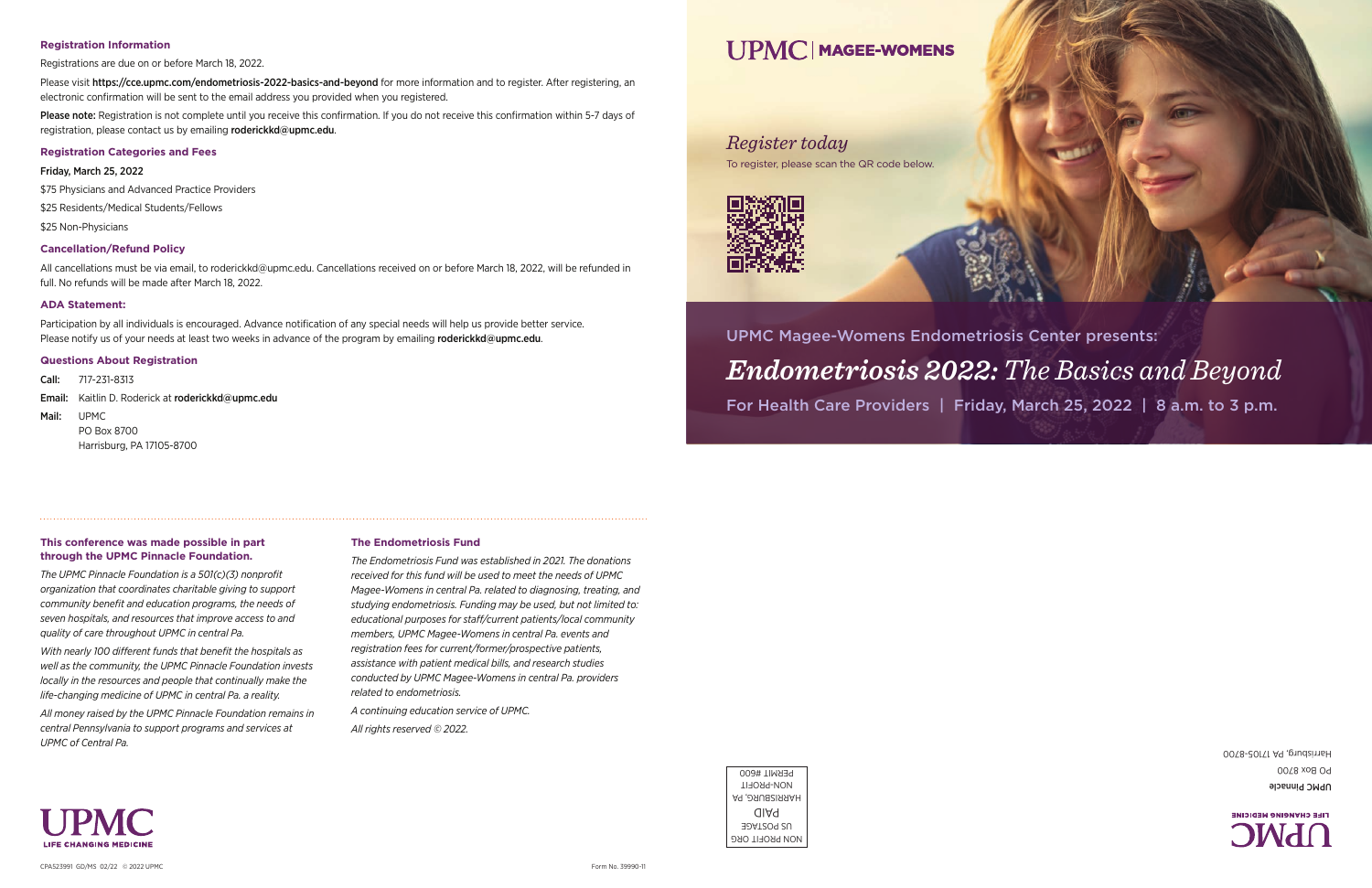# UPMC Magee-Womens Endometriosis Center presents: *Endometriosis 2022: The Basics and Beyond*  For Health Care Providers | Friday, March 25, 2022 | 8 a.m. to 3 p.m.

### *Register today*

To register, please scan the QR code below.







UPMC Pinnacle PO Box 8700 Harrisburg, PA 17105-8700

Please visit https://cce.upmc.com/endometriosis-2022-basics-and-beyond for more information and to register. After registering, an electronic confirmation will be sent to the email address you provided when you registered.

Please note: Registration is not complete until you receive this confirmation. If you do not receive this confirmation within 5-7 days of registration, please contact us by emailing roderickkd@upmc.edu.



#### **Registration Information**

Registrations are due on or before March 18, 2022.

Participation by all individuals is encouraged. Advance notification of any special needs will help us provide better service. Please notify us of your needs at least two weeks in advance of the program by emailing roderickkd@upmc.edu.

#### **Registration Categories and Fees**

#### Friday, March 25, 2022

\$75 Physicians and Advanced Practice Providers

\$25 Residents/Medical Students/Fellows

\$25 Non-Physicians

#### **Cancellation/Refund Policy**

All cancellations must be via email, to roderickkd@upmc.edu. Cancellations received on or before March 18, 2022, will be refunded in full. No refunds will be made after March 18, 2022.

#### **ADA Statement:**

#### **Questions About Registration**

Call: 717-231-8313

Email: Kaitlin D. Roderick at roderickkd@upmc.edu

#### Mail: UPMC

PO Box 8700 Harrisburg, PA 17105-8700

**This conference was made possible in part through the UPMC Pinnacle Foundation.** 

*The UPMC Pinnacle Foundation is a 501(c)(3) nonprofit organization that coordinates charitable giving to support community benefit and education programs, the needs of seven hospitals, and resources that improve access to and* 

*quality of care throughout UPMC in central Pa.* 

*With nearly 100 different funds that benefit the hospitals as well as the community, the UPMC Pinnacle Foundation invests locally in the resources and people that continually make the life-changing medicine of UPMC in central Pa. a reality.* 

*All money raised by the UPMC Pinnacle Foundation remains in central Pennsylvania to support programs and services at* 

*UPMC of Central Pa.* 

#### **The Endometriosis Fund**

*The Endometriosis Fund was established in 2021. The donations received for this fund will be used to meet the needs of UPMC Magee-Womens in central Pa. related to diagnosing, treating, and studying endometriosis. Funding may be used, but not limited to: educational purposes for staff/current patients/local community members, UPMC Magee-Womens in central Pa. events and registration fees for current/former/prospective patients, assistance with patient medical bills, and research studies conducted by UPMC Magee-Womens in central Pa. providers related to endometriosis.*

*A continuing education service of UPMC.*

*All rights reserved © 2022.*

# **I IPMC MAGEE-WOMENS**